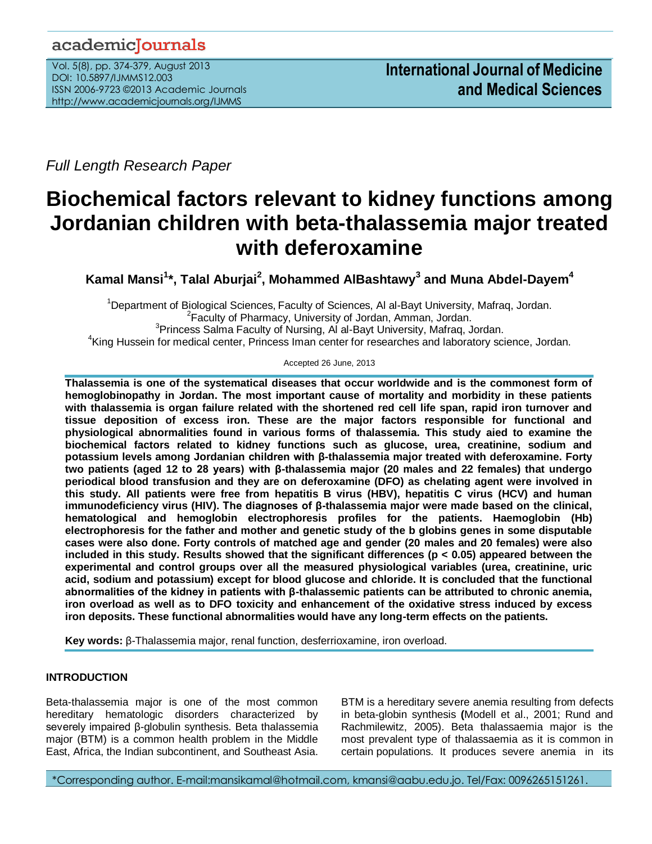# academicJournals

Vol. 5(8), pp. 374-379, August 2013 DOI: 10.5897/IJMMS12.003 ISSN 2006-9723 ©2013 Academic Journals http://www.academicjournals.org/IJMMS

*Full Length Research Paper*

# **Biochemical factors relevant to kidney functions among Jordanian children with beta-thalassemia major treated with deferoxamine**

**Kamal Mansi<sup>1</sup> \*, Talal Aburjai<sup>2</sup> , Mohammed AlBashtawy<sup>3</sup> and Muna Abdel-Dayem<sup>4</sup>**

<sup>1</sup>Department of Biological Sciences, Faculty of Sciences, Al al-Bayt University, Mafraq, Jordan. <sup>2</sup> Faculty of Pharmacy, University of Jordan, Amman, Jordan. <sup>3</sup>Princess Salma Faculty of Nursing, Al al-Bayt University, Mafraq, Jordan. <sup>4</sup>King Hussein for medical center, Princess Iman center for researches and laboratory science, Jordan.

Accepted 26 June, 2013

**Thalassemia is one of the systematical diseases that occur worldwide and is the commonest form of hemoglobinopathy in Jordan. The most important cause of mortality and morbidity in these patients with thalassemia is organ failure related with the shortened red cell life span, rapid iron turnover and tissue deposition of excess iron. These are the major factors responsible for functional and physiological abnormalities found in various forms of thalassemia. This study aied to examine the biochemical factors related to kidney functions such as glucose, urea, creatinine, sodium and potassium levels among Jordanian children with β-thalassemia major treated with deferoxamine. Forty two patients (aged 12 to 28 years) with β-thalassemia major (20 males and 22 females) that undergo periodical blood transfusion and they are on deferoxamine (DFO) as chelating agent were involved in this study. All patients were free from hepatitis B virus (HBV), hepatitis C virus (HCV) and human immunodeficiency virus (HIV). The diagnoses of β-thalassemia major were made based on the clinical, hematological and hemoglobin electrophoresis profiles for the patients. Haemoglobin (Hb) electrophoresis for the father and mother and genetic study of the b globins genes in some disputable cases were also done. Forty controls of matched age and gender (20 males and 20 females) were also included in this study. Results showed that the significant differences (p < 0.05) appeared between the experimental and control groups over all the measured physiological variables (urea, creatinine, uric acid, sodium and potassium) except for blood glucose and chloride. It is concluded that the functional abnormalities of the kidney in patients with β-thalassemic patients can be attributed to chronic anemia, iron overload as well as to DFO toxicity and enhancement of the oxidative stress induced by excess iron deposits. These functional abnormalities would have any long-term effects on the patients.** 

**Key words:** β-Thalassemia major, renal function, desferrioxamine, iron overload.

# **INTRODUCTION**

Beta-thalassemia major is one of the most common hereditary hematologic disorders characterized by severely impaired β-globulin synthesis. Beta thalassemia major (BTM) is a common health problem in the Middle East, Africa, the Indian subcontinent, and Southeast Asia.

BTM is a hereditary severe anemia resulting from defects in beta-globin synthesis **(**Modell et al., 2001; Rund and Rachmilewitz, 2005). Beta thalassaemia major is the most prevalent type of thalassaemia as it is common in certain populations. It produces severe anemia in its

\*Corresponding author. E-mail:mansikamal@hotmail.com, kmansi@aabu.edu.jo. Tel/Fax: 0096265151261.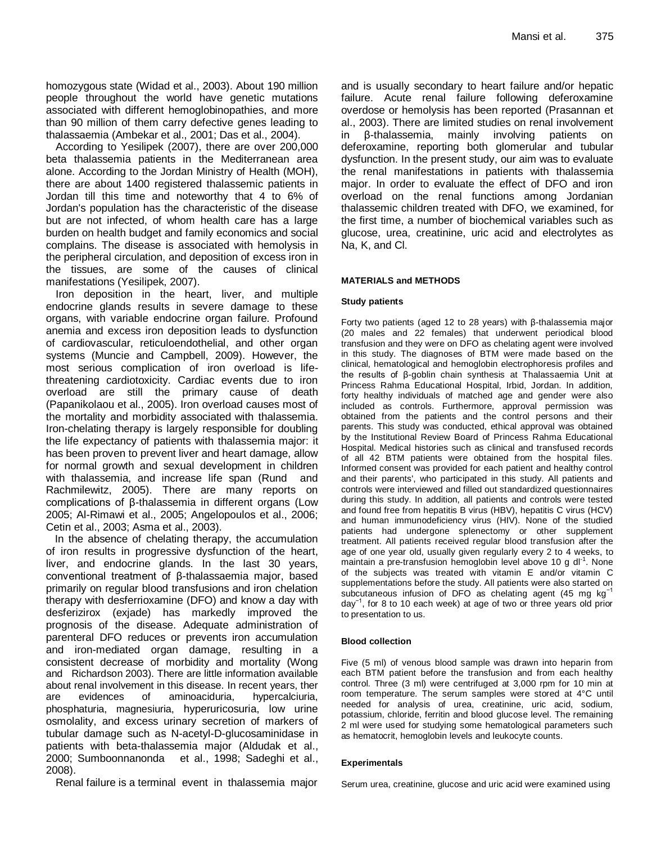homozygous state (Widad et al., 2003). About 190 million people throughout the world have genetic mutations associated with different hemoglobinopathies, and more than 90 million of them carry defective genes leading to thalassaemia (Ambekar et al., 2001; Das et al., 2004).

According to Yesilipek (2007), there are over 200,000 beta thalassemia patients in the Mediterranean area alone. According to the Jordan Ministry of Health (MOH), there are about 1400 registered thalassemic patients in Jordan till this time and noteworthy that 4 to 6% of Jordan's population has the characteristic of the disease but are not infected, of whom health care has a large burden on health budget and family economics and social complains. The disease is associated with hemolysis in the peripheral circulation, and deposition of excess iron in the tissues, are some of the causes of clinical manifestations (Yesilipek, 2007).

Iron deposition in the heart, liver, and multiple endocrine glands results in severe damage to these organs, with variable endocrine organ failure. Profound anemia and excess iron deposition leads to dysfunction of cardiovascular, reticuloendothelial, and other organ systems (Muncie and Campbell, 2009). However, the most serious complication of iron overload is lifethreatening cardiotoxicity. Cardiac events due to iron overload are still the primary cause of death (Papanikolaou et al., 2005). Iron overload causes most of the mortality and morbidity associated with thalassemia. Iron-chelating therapy is largely responsible for doubling the life expectancy of patients with thalassemia major: it has been proven to prevent liver and heart damage, allow for normal growth and sexual development in children with thalassemia, and increase life span (Rund and Rachmilewitz, 2005). There are many reports on complications of β-thalassemia in different organs (Low 2005; Al-Rimawi et al., 2005; Angelopoulos et al., 2006; Cetin et al., 2003; Asma et al., 2003).

 In the absence of chelating therapy, the accumulation of iron results in progressive dysfunction of the heart, liver, and endocrine glands. In the last 30 years, conventional treatment of β-thalassaemia major, based primarily on regular blood transfusions and iron chelation therapy with desferrioxamine (DFO) and know a day with desferizirox (exjade) has markedly improved the prognosis of the disease. Adequate administration of parenteral DFO reduces or prevents iron accumulation and iron-mediated organ damage, resulting in a consistent decrease of morbidity and mortality (Wong and Richardson 2003). There are little information available about renal involvement in this disease. In recent years, ther are evidences of aminoaciduria, hypercalciuria, phosphaturia, magnesiuria, hyperuricosuria, low urine osmolality, and excess urinary secretion of markers of tubular damage such as N-acetyl-D-glucosaminidase in patients with beta-thalassemia major (Aldudak et al., 2000; Sumboonnanonda et al., 1998; Sadeghi et al., 2008).

Renal failure is a terminal event in thalassemia major

and is usually secondary to heart failure and/or hepatic failure. Acute renal failure following deferoxamine overdose or hemolysis has been reported (Prasannan et al., 2003). There are limited studies on renal involvement in β-thalassemia, mainly involving patients on deferoxamine, reporting both glomerular and tubular dysfunction. In the present study, our aim was to evaluate the renal manifestations in patients with thalassemia major. In order to evaluate the effect of DFO and iron overload on the renal functions among Jordanian thalassemic children treated with DFO, we examined, for the first time, a number of biochemical variables such as glucose, urea, creatinine, uric acid and electrolytes as Na, K, and Cl.

# **MATERIALS and METHODS**

#### **Study patients**

Forty two patients (aged 12 to 28 years) with β-thalassemia major (20 males and 22 females) that underwent periodical blood transfusion and they were on DFO as chelating agent were involved in this study. The diagnoses of BTM were made based on the clinical, hematological and hemoglobin electrophoresis profiles and the results of β-goblin chain synthesis at Thalassaemia Unit at Princess Rahma Educational Hospital, Irbid, Jordan. In addition, forty healthy individuals of matched age and gender were also included as controls. Furthermore, approval permission was obtained from the patients and the control persons and their parents. This study was conducted, ethical approval was obtained by the Institutional Review Board of Princess Rahma Educational Hospital. Medical histories such as clinical and transfused records of all 42 BTM patients were obtained from the hospital files. Informed consent was provided for each patient and healthy control and their parents', who participated in this study. All patients and controls were interviewed and filled out standardized questionnaires during this study. In addition, all patients and controls were tested and found free from hepatitis B virus (HBV), hepatitis C virus (HCV) and human immunodeficiency virus (HIV). None of the studied patients had undergone splenectomy or other supplement treatment. All patients received regular blood transfusion after the age of one year old, usually given regularly every 2 to 4 weeks, to maintain a pre-transfusion hemoglobin level above 10 g dl<sup>-1</sup>. None of the subjects was treated with vitamin E and/or vitamin C supplementations before the study. All patients were also started on subcutaneous infusion of DFO as chelating agent (45 mg kg $^{-1}$ day−1, for 8 to 10 each week) at age of two or three years old prior to presentation to us.

#### **Blood collection**

Five (5 ml) of venous blood sample was drawn into heparin from each BTM patient before the transfusion and from each healthy control. Three (3 ml) were centrifuged at 3,000 rpm for 10 min at room temperature. The serum samples were stored at 4°C until needed for analysis of urea, creatinine, uric acid, sodium, potassium, chloride, ferritin and blood glucose level. The remaining 2 ml were used for studying some hematological parameters such as hematocrit, hemoglobin levels and leukocyte counts.

#### **Experimentals**

Serum urea, creatinine, glucose and uric acid were examined using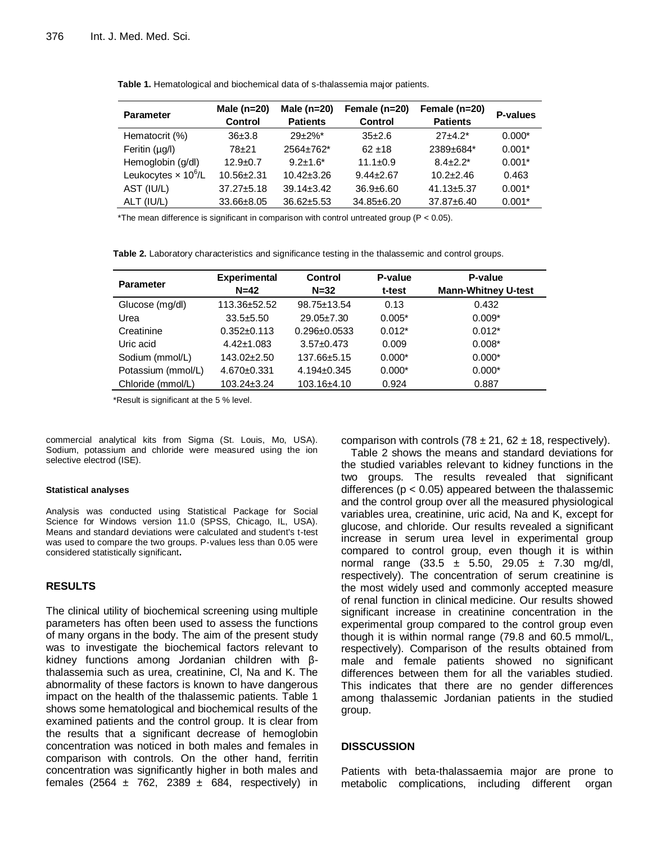| <b>Parameter</b>            | Male $(n=20)$    | Male $(n=20)$    | Female (n=20)   | Female (n=20)    | <b>P-values</b> |  |
|-----------------------------|------------------|------------------|-----------------|------------------|-----------------|--|
|                             | <b>Control</b>   | <b>Patients</b>  | <b>Control</b>  | <b>Patients</b>  |                 |  |
| Hematocrit (%)              | $36 + 3.8$       | $29+2%$ *        | $35\pm2.6$      | $27+4.2*$        | $0.000*$        |  |
| Feritin $(\mu g/l)$         | $78 + 21$        | 2564±762*        | $62 + 18$       | 2389±684*        | $0.001*$        |  |
| Hemoglobin (g/dl)           | $12.9 + 0.7$     | $9.2 + 1.6^*$    | $11.1 \pm 0.9$  | $8.4 + 2.2*$     | $0.001*$        |  |
| Leukocytes $\times 10^6$ /L | $10.56 + 2.31$   | $10.42 \pm 3.26$ | $9.44 \pm 2.67$ | $10.2 + 2.46$    | 0.463           |  |
| AST (IU/L)                  | $37.27 \pm 5.18$ | $39.14 \pm 3.42$ | $36.9 + 6.60$   | $41.13 \pm 5.37$ | $0.001*$        |  |
| ALT (IU/L)                  | 33.66±8.05       | $36.62 \pm 5.53$ | 34.85±6.20      | 37.87±6.40       | $0.001*$        |  |

**Table 1.** Hematological and biochemical data of s-thalassemia major patients.

\*The mean difference is significant in comparison with control untreated group ( $P < 0.05$ ).

**Table 2.** Laboratory characteristics and significance testing in the thalassemic and control groups.

| <b>Parameter</b>   | <b>Experimental</b> | <b>Control</b>     | P-value  | P-value                    |
|--------------------|---------------------|--------------------|----------|----------------------------|
|                    | $N=42$              | $N = 32$           | t-test   | <b>Mann-Whitney U-test</b> |
| Glucose (mg/dl)    | 113.36±52.52        | 98.75±13.54        | 0.13     | 0.432                      |
| Urea               | $33.5 + 5.50$       | $29.05 \pm 7.30$   | $0.005*$ | $0.009*$                   |
| Creatinine         | $0.352 \pm 0.113$   | $0.296 \pm 0.0533$ | $0.012*$ | $0.012*$                   |
| Uric acid          | $4.42 \pm 1.083$    | $3.57 \pm 0.473$   | 0.009    | $0.008*$                   |
| Sodium (mmol/L)    | 143.02±2.50         | 137.66±5.15        | $0.000*$ | $0.000*$                   |
| Potassium (mmol/L) | $4.670 \pm 0.331$   | $4.194 \pm 0.345$  | $0.000*$ | $0.000*$                   |
| Chloride (mmol/L)  | $103.24 \pm 3.24$   | 103.16±4.10        | 0.924    | 0.887                      |

\*Result is significant at the 5 % level.

commercial analytical kits from Sigma (St. Louis, Mo, USA). Sodium, potassium and chloride were measured using the ion selective electrod (ISE).

#### **Statistical analyses**

Analysis was conducted using Statistical Package for Social Science for Windows version 11.0 (SPSS, Chicago, IL, USA). Means and standard deviations were calculated and student's t-test was used to compare the two groups. P-values less than 0.05 were considered statistically significant**.** 

# **RESULTS**

The clinical utility of biochemical screening using multiple parameters has often been used to assess the functions of many organs in the body. The aim of the present study was to investigate the biochemical factors relevant to kidney functions among Jordanian children with βthalassemia such as urea, creatinine, Cl, Na and K. The abnormality of these factors is known to have dangerous impact on the health of the thalassemic patients. Table 1 shows some hematological and biochemical results of the examined patients and the control group. It is clear from the results that a significant decrease of hemoglobin concentration was noticed in both males and females in comparison with controls. On the other hand, ferritin concentration was significantly higher in both males and females (2564  $\pm$  762, 2389  $\pm$  684, respectively) in

comparison with controls  $(78 \pm 21, 62 \pm 18,$  respectively).

Table 2 shows the means and standard deviations for the studied variables relevant to kidney functions in the two groups. The results revealed that significant differences ( $p < 0.05$ ) appeared between the thalassemic and the control group over all the measured physiological variables urea, creatinine, uric acid, Na and K, except for glucose, and chloride. Our results revealed a significant increase in serum urea level in experimental group compared to control group, even though it is within normal range  $(33.5 \pm 5.50, 29.05 \pm 7.30 \text{ mg/dl})$ respectively). The concentration of serum creatinine is the most widely used and commonly accepted measure of renal function in clinical medicine. Our results showed significant increase in creatinine concentration in the experimental group compared to the control group even though it is within normal range (79.8 and 60.5 mmol/L, respectively). Comparison of the results obtained from male and female patients showed no significant differences between them for all the variables studied. This indicates that there are no gender differences among thalassemic Jordanian patients in the studied group.

# **DISSCUSSION**

Patients with beta-thalassaemia major are prone to metabolic complications, including different organ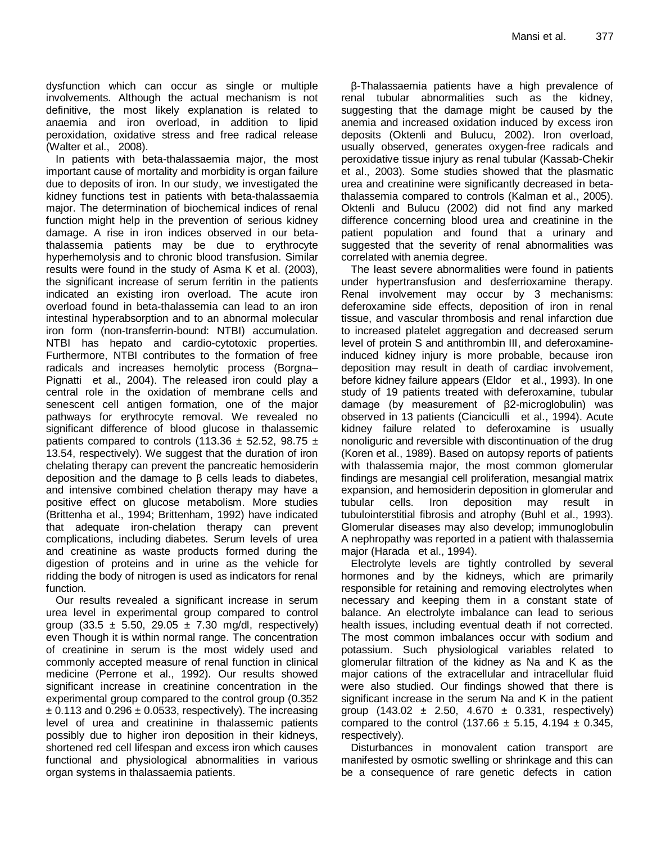dysfunction which can occur as single or multiple involvements. Although the actual mechanism is not definitive, the most likely explanation is related to anaemia and iron overload, in addition to lipid peroxidation, oxidative stress and free radical release (Walter et al., 2008).

In patients with beta-thalassaemia major, the most important cause of mortality and morbidity is organ failure due to deposits of iron. In our study, we investigated the kidney functions test in patients with beta-thalassaemia major. The determination of biochemical indices of renal function might help in the prevention of serious kidney damage. A rise in iron indices observed in our betathalassemia patients may be due to erythrocyte hyperhemolysis and to chronic blood transfusion. Similar results were found in the study of Asma K et al. (2003), the significant increase of serum ferritin in the patients indicated an existing iron overload. The acute iron overload found in beta-thalassemia can lead to an iron intestinal hyperabsorption and to an abnormal molecular iron form (non-transferrin-bound: NTBI) accumulation. NTBI has hepato and cardio-cytotoxic properties. Furthermore, NTBI contributes to the formation of free radicals and increases hemolytic process (Borgna– Pignatti et al., 2004). The released iron could play a central role in the oxidation of membrane cells and senescent cell antigen formation, one of the major pathways for erythrocyte removal. We revealed no significant difference of blood glucose in thalassemic patients compared to controls (113.36  $\pm$  52.52, 98.75  $\pm$ 13.54, respectively). We suggest that the duration of iron chelating therapy can prevent the pancreatic hemosiderin deposition and the damage to β cells leads to diabetes, and intensive combined chelation therapy may have a positive effect on glucose metabolism. More studies (Brittenha et al., 1994; Brittenham, 1992) have indicated that adequate iron-chelation therapy can prevent complications, including diabetes. Serum levels of urea and creatinine as waste products formed during the digestion of proteins and in urine as the vehicle for ridding the body of nitrogen is used as indicators for renal function.

Our results revealed a significant increase in serum urea level in experimental group compared to control group (33.5  $\pm$  5.50, 29.05  $\pm$  7.30 mg/dl, respectively) even Though it is within normal range. The concentration of creatinine in serum is the most widely used and commonly accepted measure of renal function in clinical medicine (Perrone et al., 1992). Our results showed significant increase in creatinine concentration in the experimental group compared to the control group (0.352  $\pm$  0.113 and 0.296  $\pm$  0.0533, respectively). The increasing level of urea and creatinine in thalassemic patients possibly due to higher iron deposition in their kidneys, shortened red cell lifespan and excess iron which causes functional and physiological abnormalities in various organ systems in thalassaemia patients.

β-Thalassaemia patients have a high prevalence of renal tubular abnormalities such as the kidney, suggesting that the damage might be caused by the anemia and increased oxidation induced by excess iron deposits (Oktenli and Bulucu, 2002). Iron overload, usually observed, generates oxygen-free radicals and peroxidative tissue injury as renal tubular (Kassab-Chekir et al., 2003). Some studies showed that the plasmatic urea and creatinine were significantly decreased in betathalassemia compared to controls (Kalman et al., 2005). Oktenli and Bulucu (2002) did not find any marked difference concerning blood urea and creatinine in the patient population and found that a urinary and suggested that the severity of renal abnormalities was correlated with anemia degree.

The least severe abnormalities were found in patients under hypertransfusion and desferrioxamine therapy. Renal involvement may occur by 3 mechanisms: deferoxamine side effects, deposition of iron in renal tissue, and vascular thrombosis and renal infarction due to increased platelet aggregation and decreased serum level of protein S and antithrombin III, and deferoxamineinduced kidney injury is more probable, because iron deposition may result in death of cardiac involvement, before kidney failure appears (Eldor et al., 1993). In one study of 19 patients treated with deferoxamine, tubular damage (by measurement of β2-microglobulin) was observed in 13 patients (Cianciculli et al., 1994). Acute kidney failure related to deferoxamine is usually nonoliguric and reversible with discontinuation of the drug (Koren et al., 1989). Based on autopsy reports of patients with thalassemia major, the most common glomerular findings are mesangial cell proliferation, mesangial matrix expansion, and hemosiderin deposition in glomerular and tubular cells. Iron deposition may result in tubulointerstitial fibrosis and atrophy (Buhl et al., 1993). Glomerular diseases may also develop; immunoglobulin A nephropathy was reported in a patient with thalassemia major (Harada et al., 1994).

Electrolyte levels are tightly controlled by several hormones and by the kidneys, which are primarily responsible for retaining and removing electrolytes when necessary and keeping them in a constant state of balance. An electrolyte imbalance can lead to serious health issues, including eventual death if not corrected. The most common imbalances occur with sodium and potassium. Such physiological variables related to glomerular filtration of the kidney as Na and K as the major cations of the extracellular and intracellular fluid were also studied. Our findings showed that there is significant increase in the serum Na and K in the patient group  $(143.02 \pm 2.50, 4.670 \pm 0.331,$  respectively) compared to the control (137.66  $\pm$  5.15, 4.194  $\pm$  0.345, respectively).

Disturbances in monovalent cation transport are manifested by osmotic swelling or shrinkage and this can be a consequence of rare genetic defects in cation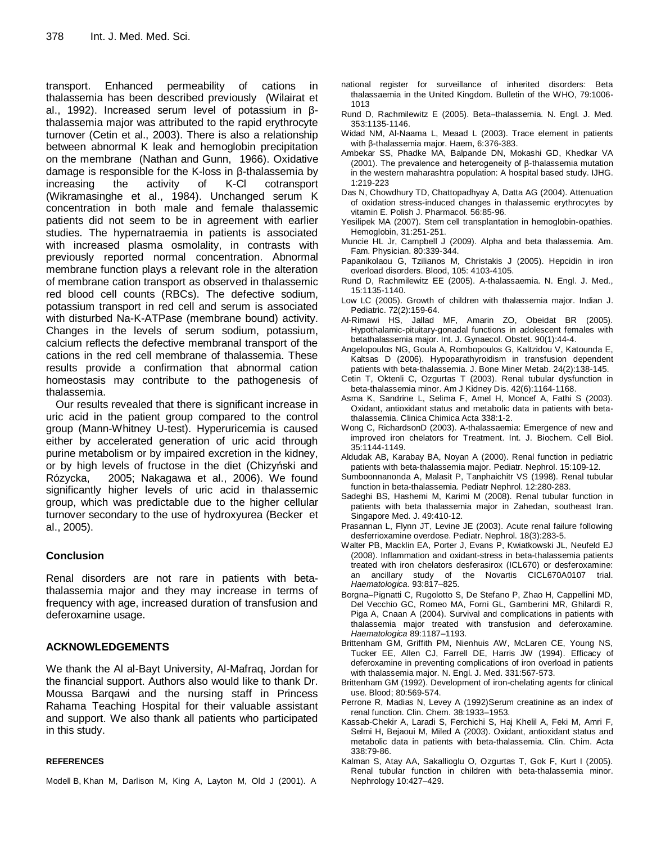transport. Enhanced permeability of cations in thalassemia has been described previously (Wilairat et al., 1992). Increased serum level of potassium in βthalassemia major was attributed to the rapid erythrocyte turnover (Cetin et al., 2003). There is also a relationship between abnormal K leak and hemoglobin precipitation on the membrane (Nathan and Gunn, 1966). Oxidative damage is responsible for the K-loss in β-thalassemia by increasing the activity of K-Cl cotransport (Wikramasinghe et al., 1984). Unchanged serum K concentration in both male and female thalassemic patients did not seem to be in agreement with earlier studies. The hypernatraemia in patients is associated with increased plasma osmolality, in contrasts with previously reported normal concentration. Abnormal membrane function plays a relevant role in the alteration of membrane cation transport as observed in thalassemic red blood cell counts (RBCs). The defective sodium, potassium transport in red cell and serum is associated with disturbed Na-K-ATPase (membrane bound) activity. Changes in the levels of serum sodium, potassium, calcium reflects the defective membranal transport of the cations in the red cell membrane of thalassemia. These results provide a confirmation that abnormal cation homeostasis may contribute to the pathogenesis of thalassemia.

Our results revealed that there is significant increase in uric acid in the patient group compared to the control group (Mann-Whitney U-test). Hyperuricemia is caused either by accelerated generation of uric acid through purine metabolism or by impaired excretion in the kidney, or by high levels of fructose in the diet (Chizyński and Rózycka, 2005; Nakagawa et al., 2006). We found significantly higher levels of uric acid in thalassemic group, which was predictable due to the higher cellular turnover secondary to the use of hydroxyurea (Becker et al., 2005).

# **Conclusion**

Renal disorders are not rare in patients with betathalassemia major and they may increase in terms of frequency with age, increased duration of transfusion and deferoxamine usage.

# **ACKNOWLEDGEMENTS**

We thank the Al al-Bayt University, Al-Mafraq, Jordan for the financial support. Authors also would like to thank Dr. Moussa Barqawi and the nursing staff in Princess Rahama Teaching Hospital for their valuable assistant and support. We also thank all patients who participated in this study.

# **REFERENCES**

Modell B, Khan M, Darlison M, King A, Layton M, Old J (2001). A

- national register for surveillance of inherited disorders: Beta thalassaemia in the United Kingdom. Bulletin of the WHO, 79:1006- 1013
- Rund D, Rachmilewitz E (2005). Beta–thalassemia. N. Engl. J. Med. 353:1135-1146.
- Widad NM, Al-Naama L, Meaad L (2003). Trace element in patients with β-thalassemia major. Haem, 6:376-383.
- Ambekar SS, Phadke MA, Balpande DN, Mokashi GD, Khedkar VA (2001). The prevalence and heterogeneity of β-thalassemia mutation in the western maharashtra population: A hospital based study. IJHG. 1:219-223
- Das N, Chowdhury TD, Chattopadhyay A, Datta AG (2004). Attenuation of oxidation stress-induced changes in thalassemic erythrocytes by vitamin E. Polish J. Pharmacol. 56:85-96.
- Yesilipek MA (2007). Stem cell transplantation in hemoglobin-opathies. Hemoglobin, 31:251-251.
- Muncie HL Jr, Campbell J (2009). Alpha and beta thalassemia. Am. Fam. Physician. 80:339-344.
- Papanikolaou G, Tzilianos M, Christakis J (2005). Hepcidin in iron overload disorders. Blood, 105: 4103-4105.
- Rund D, Rachmilewitz EE (2005). A-thalassaemia. N. Engl. J. Med., 15:1135-1140.
- Low LC (2005). Growth of children with thalassemia major. Indian J. Pediatric. 72(2):159-64.
- Al-Rimawi HS, Jallad MF, Amarin ZO, Obeidat BR (2005). Hypothalamic-pituitary-gonadal functions in adolescent females with betathalassemia major. Int. J. Gynaecol. Obstet. 90(1):44-4.
- Angelopoulos NG, Goula A, Rombopoulos G, Kaltzidou V, Katounda E, Kaltsas D (2006). Hypoparathyroidism in transfusion dependent patients with beta-thalassemia. J. Bone Miner Metab. 24(2):138-145.
- Cetin T, Oktenli C, Ozgurtas T (2003). Renal tubular dysfunction in beta-thalassemia minor. Am J Kidney Dis. 42(6):1164-1168.
- Asma K, Sandrine L, Selima F, Amel H, Moncef A, Fathi S (2003). Oxidant, antioxidant status and metabolic data in patients with betathalassemia. [Clinica Chimica Acta](http://www.sciencedirect.com/science/journal/00098981) [338:1-2.](http://www.sciencedirect.com/science/journal/00098981)
- Wong C, RichardsonD (2003). A-thalassaemia: Emergence of new and improved iron chelators for Treatment. Int. J. Biochem. Cell Biol. 35:1144-1149.
- Aldudak AB, Karabay BA, Noyan A (2000). Renal function in pediatric patients with beta-thalassemia major. Pediatr. Nephrol. 15:109-12.
- Sumboonnanonda A, Malasit P, Tanphaichitr VS (1998). Renal tubular function in beta-thalassemia. Pediatr Nephrol. 12:280-283.
- Sadeghi BS, Hashemi M, Karimi M (2008). Renal tubular function in patients with beta thalassemia major in Zahedan, southeast Iran. Singapore Med. J. 49:410-12.
- Prasannan L, Flynn JT, Levine JE (2003). Acute renal failure following desferrioxamine overdose. Pediatr. Nephrol. 18(3):283-5.
- Walter PB, Macklin EA, Porter J, Evans P, Kwiatkowski JL, Neufeld EJ (2008). Inflammation and oxidant-stress in beta-thalassemia patients treated with iron chelators desferasirox (ICL670) or desferoxamine: an ancillary study of the Novartis CICL670A0107 trial. *Haematologica.* 93:817–825.
- Borgna–Pignatti C, Rugolotto S, De Stefano P, Zhao H, Cappellini MD, Del Vecchio GC, Romeo MA, Forni GL, Gamberini MR, Ghilardi R, Piga A, Cnaan A (2004). Survival and complications in patients with thalassemia major treated with transfusion and deferoxamine. *Haematologica* 89:1187–1193.
- Brittenham GM, Griffith PM, Nienhuis AW, McLaren CE, Young NS, Tucker EE, Allen CJ, Farrell DE, Harris JW (1994). Efficacy of deferoxamine in preventing complications of iron overload in patients with thalassemia major. N. Engl. J. Med. 331:567-573.
- Brittenham GM (1992). Development of iron-chelating agents for clinical use. Blood; 80:569-574.
- Perrone R, Madias N, Levey A (1992)Serum creatinine as an index of renal function. Clin. Chem. 38:1933–1953.
- Kassab-Chekir A, Laradi S, Ferchichi S, Haj Khelil A, Feki M, Amri F, Selmi H, Bejaoui M, Miled A (2003). Oxidant, antioxidant status and metabolic data in patients with beta-thalassemia. Clin. Chim. Acta 338:79-86.
- Kalman S, Atay AA, Sakallioglu O, Ozgurtas T, Gok F, Kurt I (2005). Renal tubular function in children with beta-thalassemia minor. Nephrology 10:427–429.